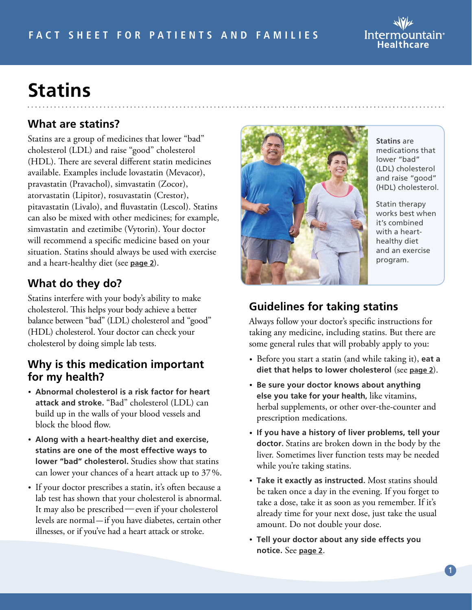# **Statins**

## **What are statins?**

Statins are a group of medicines that lower "bad" cholesterol (LDL) and raise "good" cholesterol (HDL). There are several different statin medicines available. Examples include lovastatin (Mevacor), pravastatin (Pravachol), simvastatin (Zocor), atorvastatin (Lipitor), rosuvastatin (Crestor), pitavastatin (Livalo), and fluvastatin (Lescol). Statins can also be mixed with other medicines; for example, simvastatin and ezetimibe (Vytorin). Your doctor will recommend a specific medicine based on your situation. Statins should always be used with exercise and a heart-healthy diet (see **[page 2](#page-1-0)**).

## **What do they do?**

Statins interfere with your body's ability to make cholesterol. This helps your body achieve a better balance between "bad" (LDL) cholesterol and "good" (HDL) cholesterol. Your doctor can check your cholesterol by doing simple lab tests.

#### **Why is this medication important for my health?**

- **Abnormal cholesterol is a risk factor for heart attack and stroke.** "Bad" cholesterol (LDL) can build up in the walls of your blood vessels and block the blood flow.
- **Along with a heart-healthy diet and exercise, statins are one of the most effective ways to lower "bad" cholesterol.** Studies show that statins can lower your chances of a heart attack up to 37%.
- If your doctor prescribes a statin, it's often because a lab test has shown that your cholesterol is abnormal. It may also be prescribed—even if your cholesterol levels are normal-if you have diabetes, certain other illnesses, or if you've had a heart attack or stroke.



Always follow your doctor's specific instructions for taking any medicine, including statins. But there are some general rules that will probably apply to you:

- Before you start a statin (and while taking it), **eat a diet that helps to lower cholesterol** (see **[page](#page-1-0) 2**).
- **Be sure your doctor knows about anything else you take for your health,** like vitamins, herbal supplements, or other over-the-counter and prescription medications.
- **If you have a history of liver problems, tell your doctor.** Statins are broken down in the body by the liver. Sometimes liver function tests may be needed while you're taking statins.
- **Take it exactly as instructed.** Most statins should be taken once a day in the evening. If you forget to take a dose, take it as soon as you remember. If it's already time for your next dose, just take the usual amount. Do not double your dose.
- **Tell your doctor about any side effects you notice.** See **[page 2](#page-1-0)**.

**Statins** are medications that lower "bad" (LDL) cholesterol and raise "good" (HDL) cholesterol.

Statin therapy works best when it's combined with a hearthealthy diet

and an exercise program.